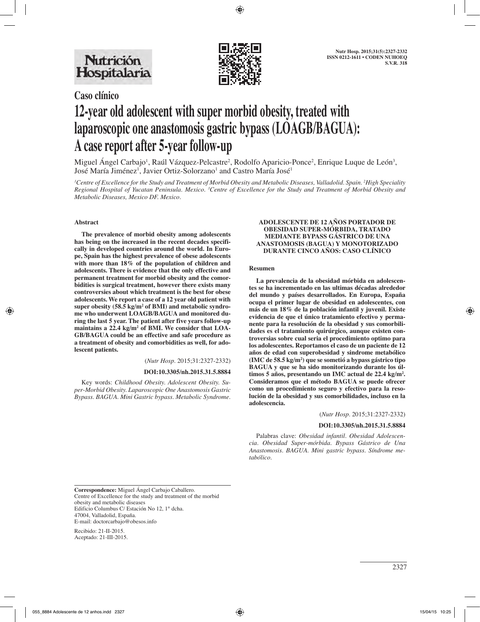

# **Caso clínico 12-year old adolescent with super morbid obesity, treated with laparoscopic one anastomosis gastric bypass (LOAGB/BAGUA): A case report after 5-year follow-up**

Miguel Angel Carbajo<sup>1</sup>, Raúl Vázquez-Pelcastre<sup>2</sup>, Rodolfo Aparicio-Ponce<sup>2</sup>, Enrique Luque de León<sup>3</sup>, José María Jiménez<sup>1</sup>, Javier Ortiz-Solorzano<sup>1</sup> and Castro María José<sup>1</sup>

*1 Centre of Excellence for the Study and Treatment of Morbid Obesity and Metabolic Diseases, Valladolid. Spain. 2 High Speciality Regional Hospital of Yucatan Peninsula. Mexico. 3 Centre of Excellence for the Study and Treatment of Morbid Obesity and Metabolic Diseases, Mexico DF. Mexico.*

## **Abstract**

**The prevalence of morbid obesity among adolescents has being on the increased in the recent decades specifically in developed countries around the world. In Europe, Spain has the highest prevalence of obese adolescents with more than 18% of the population of children and adolescents. There is evidence that the only effective and permanent treatment for morbid obesity and the comorbidities is surgical treatment, however there exists many controversies about which treatment is the best for obese adolescents. We report a case of a 12 year old patient with**  super obesity (58.5 kg/m<sup>2</sup> of BMI) and metabolic syndro**me who underwent LOAGB/BAGUA and monitored during the last 5 year. The patient after five years follow-up maintains a 22.4 kg/m2 of BMI. We consider that LOA-GB/BAGUA could be an effective and safe procedure as a treatment of obesity and comorbidities as well, for adolescent patients.**

(*Nutr Hosp.* 2015;31:2327-2332)

#### **DOI:10.3305/nh.2015.31.5.8884**

Key words: *Childhood Obesity. Adolescent Obesity. Super-Morbid Obesity. Laparoscopic One Anastomosis Gastric Bypass. BAGUA. Mini Gastric bypass. Metabolic Syndrome.*

## **ADOLESCENTE DE 12 AÑOS PORTADOR DE OBESIDAD SUPER-MÓRBIDA, TRATADO MEDIANTE BYPASS GÁSTRICO DE UNA ANASTOMOSIS (BAGUA) Y MONOTORIZADO DURANTE CINCO AÑOS: CASO CLÍNICO**

### **Resumen**

**La prevalencia de la obesidad mórbida en adolescentes se ha incrementado en las ultimas décadas alrededor del mundo y países desarrollados. En Europa, España ocupa el primer lugar de obesidad en adolescentes, con más de un 18% de la población infantil y juvenil. Existe evidencia de que el único tratamiento efectivo y permanente para la resolución de la obesidad y sus comorbilidades es el tratamiento quirúrgico, aunque existen controversias sobre cual seria el procedimiento optimo para los adolescentes. Reportamos el caso de un paciente de 12 años de edad con superobesidad y sindrome metabólico (IMC de 58.5 kg/m2 ) que se sometió a bypass gástrico tipo BAGUA y que se ha sido monitorizando durante los últimos 5 años, presentando un IMC actual de 22.4 kg/m2 . Consideramos que el método BAGUA se puede ofrecer como un procedimiento seguro y efectivo para la resolución de la obesidad y sus comorbilidades, incluso en la adolescencia.**

(*Nutr Hosp.* 2015;31:2327-2332)

#### **DOI:10.3305/nh.2015.31.5.8884**

Palabras clave: *Obesidad infantil. Obesidad Adolescencia. Obesidad Super-mórbida. Bypass Gástrico de Una Anastomosis. BAGUA. Mini gastric bypass. Síndrome metabólico.*

**Correspondence:** Miguel Ángel Carbajo Caballero. Centre of Excellence for the study and treatment of the morbid obesity and metabolic diseases Edificio Columbus C/ Estación No 12, 1° dcha. 47004, Valladolid, España. E-mail: doctorcarbajo@obesos.info

Recibido: 21-II-2015. Aceptado: 21-III-2015.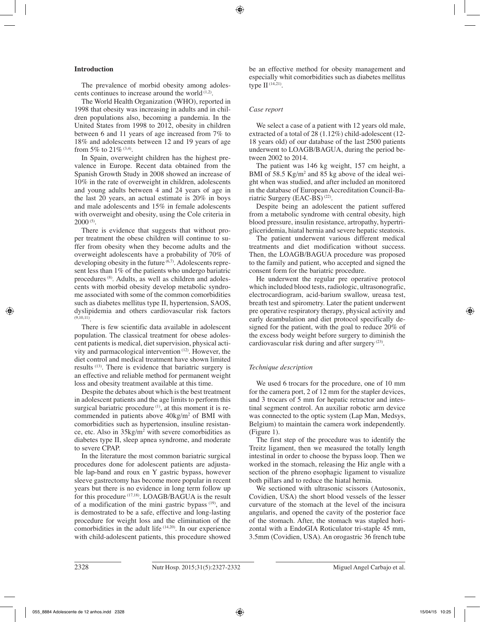# **Introduction**

The prevalence of morbid obesity among adolescents continues to increase around the world  $(1,2)$ .

The World Health Organization (WHO), reported in 1998 that obesity was increasing in adults and in children populations also, becoming a pandemia. In the United States from 1998 to 2012, obesity in children between 6 and 11 years of age increased from 7% to 18% and adolescents between 12 and 19 years of age from 5% to 21% (3,4).

In Spain, overweight children has the highest prevalence in Europe. Recent data obtained from the Spanish Growth Study in 2008 showed an increase of 10% in the rate of overweight in children, adolescents and young adults between 4 and 24 years of age in the last 20 years, an actual estimate is 20% in boys and male adolescents and 15% in female adolescents with overweight and obesity, using the Cole criteria in  $2000^{(5)}$ .

There is evidence that suggests that without proper treatment the obese children will continue to suffer from obesity when they become adults and the overweight adolescents have a probability of 70% of developing obesity in the future (6,7). Adolescents represent less than 1% of the patients who undergo bariatric procedures (8). Adults, as well as children and adolescents with morbid obesity develop metabolic syndrome associated with some of the common comorbidities such as diabetes mellitus type II, hypertension, SAOS, dyslipidemia and others cardiovascular risk factors  $(9,10,11)$ 

There is few scientific data available in adolescent population. The classical treatment for obese adolescent patients is medical, diet supervision, physical activity and parmacological intervention (12). However, the diet control and medical treatment have shown limited results (13). There is evidence that bariatric surgery is an effective and reliable method for permanent weight loss and obesity treatment available at this time.

Despite the debates about which is the best treatment in adolescent patients and the age limits to perform this surgical bariatric procedure<sup>(1)</sup>, at this moment it is recommended in patients above 40kg/m2 of BMI with comorbidities such as hypertension, insuline resistance, etc. Also in  $35\text{kg/m}^2$  with severe comorbidities as diabetes type II, sleep apnea syndrome, and moderate to severe CPAP.

In the literature the most common bariatric surgical procedures done for adolescent patients are adjustable lap-band and roux en Y gastric bypass, however sleeve gastrectomy has become more popular in recent years but there is no evidence in long term follow up for this procedure (17,18). LOAGB/BAGUA is the result of a modification of the mini gastric bypass (19), and is demostrated to be a safe, effective and long-lasting procedure for weight loss and the elimination of the comorbidities in the adult life  $(14,20)$ . In our experience with child-adolescent patients, this procedure showed be an effective method for obesity management and especially whit comorbidities such as diabetes mellitus type II (14,21).

# *Case report*

We select a case of a patient with 12 years old male, extracted of a total of 28 (1.12%) child-adolescent (12- 18 years old) of our database of the last 2500 patients underwent to LOAGB/BAGUA, during the period between 2002 to 2014.

The patient was 146 kg weight, 157 cm height, a BMI of 58.5  $\text{Kg/m}^2$  and 85 kg above of the ideal weight when was studied, and after included an monitored in the database of European Accreditation Council-Bariatric Surgery (EAC-BS) (22).

Despite being an adolescent the patient suffered from a metabolic syndrome with central obesity, high blood pressure, insulin resistance, artropathy, hypertrigliceridemia, hiatal hernia and severe hepatic steatosis.

The patient underwent various different medical treatments and diet modification without success. Then, the LOAGB/BAGUA procedure was proposed to the family and patient, who accepted and signed the consent form for the bariatric procedure.

He underwent the regular pre operative protocol which included blood tests, radiologic, ultrasonografic, electrocardiogram, acid-barium swallow, ureasa test, breath test and spirometry. Later the patient underwent pre operative respiratory therapy, physical activity and early deambulation and diet protocol specifically designed for the patient, with the goal to reduce 20% of the excess body weight before surgery to diminish the cardiovascular risk during and after surgery (23).

# *Technique description*

We used 6 trocars for the procedure, one of 10 mm for the camera port, 2 of 12 mm for the stapler devices, and 3 trocars of 5 mm for hepatic retractor and intestinal segment control. An auxiliar robotic arm device was connected to the optic system (Lap Man, Medsys, Belgium) to maintain the camera work independently. (Figure 1).

The first step of the procedure was to identify the Treitz ligament, then we measured the totally length intestinal in order to choose the bypass loop. Then we worked in the stomach, releasing the Hiz angle with a section of the phreno esophagic ligament to visualize both pillars and to reduce the hiatal hernia.

We sectioned with ultrasonic scissors (Autosonix, Covidien, USA) the short blood vessels of the lesser curvature of the stomach at the level of the incisura angularis, and opened the cavity of the posterior face of the stomach. After, the stomach was stapled horizontal with a EndoGIA Roticulator tri-staple 45 mm, 3.5mm (Covidien, USA). An orogastric 36 french tube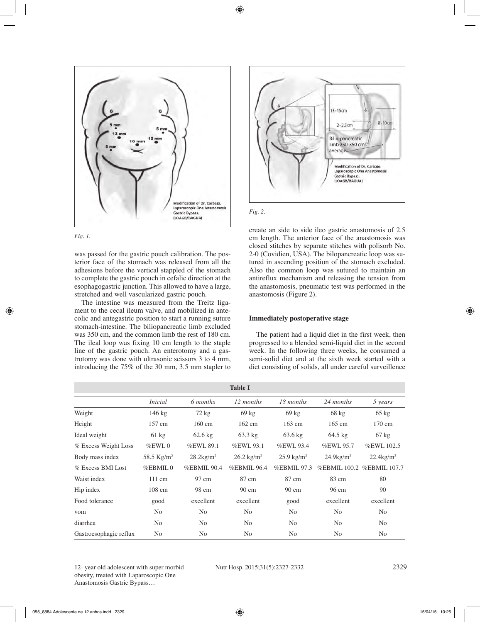



was passed for the gastric pouch calibration. The posterior face of the stomach was released from all the adhesions before the vertical stappled of the stomach to complete the gastric pouch in cefalic direction at the esophagogastric junction. This allowed to have a large, stretched and well vascularized gastric pouch.

The intestine was measured from the Treitz ligament to the cecal ileum valve, and mobilized in antecolic and antegastric position to start a running suture stomach-intestine. The biliopancreatic limb excluded was 350 cm, and the common limb the rest of 180 cm. The ileal loop was fixing 10 cm length to the staple line of the gastric pouch. An enterotomy and a gastrotomy was done with ultrasonic scissors 3 to 4 mm, introducing the 75% of the 30 mm, 3.5 mm stapler to





create an side to side ileo gastric anastomosis of 2.5 cm length. The anterior face of the anastomosis was closed stitches by separate stitches with polisorb No. 2-0 (Covidien, USA). The bilopancreatic loop was sutured in ascending position of the stomach excluded. Also the common loop was sutured to maintain an antireflux mechanism and releasing the tension from the anastomosis, pneumatic test was performed in the anastomosis (Figure 2).

# **Immediately postoperative stage**

The patient had a liquid diet in the first week, then progressed to a blended semi-liquid diet in the second week. In the following three weeks, he consumed a semi-solid diet and at the sixth week started with a diet consisting of solids, all under careful surveillence

| <b>Table I</b>         |                  |                          |                       |                       |                          |                           |  |  |  |
|------------------------|------------------|--------------------------|-----------------------|-----------------------|--------------------------|---------------------------|--|--|--|
|                        | <i>Inicial</i>   | 6 months                 | 12 months             | 18 months             | 24 months                | 5 years                   |  |  |  |
| Weight                 | $146 \text{ kg}$ | $72 \text{ kg}$          | $69 \text{ kg}$       | $69 \text{ kg}$       | $68 \text{ kg}$          | $65 \text{ kg}$           |  |  |  |
| Height                 | 157 cm           | $160 \text{ cm}$         | $162 \text{ cm}$      | $163$ cm              | $165$ cm                 | 170 cm                    |  |  |  |
| Ideal weight           | $61 \text{ kg}$  | $62.6$ kg                | $63.3 \text{ kg}$     | $63.6 \text{ kg}$     | $64.5 \text{ kg}$        | $67 \text{ kg}$           |  |  |  |
| % Excess Weight Loss   | $%$ EWL $0$      | %EWL 89.1                | %EWL 93.1             | %EWL 93.4             | %EWL 95.7                | %EWL 102.5                |  |  |  |
| Body mass index        | 58.5 $Kg/m^2$    | $28.2$ kg/m <sup>2</sup> | $26.2 \text{ kg/m}^2$ | $25.9 \text{ kg/m}^2$ | $24.9$ kg/m <sup>2</sup> | $22.4$ kg/m <sup>2</sup>  |  |  |  |
| % Excess BMI Lost      | $%$ EBMIL $0$    | <b>%EBMIL 90.4</b>       | %EBMIL 96.4           | %EBMIL 97.3           |                          | %EBMIL 100.2 %EBMIL 107.7 |  |  |  |
| Waist index            | $111 \text{ cm}$ | 97 cm                    | 87 cm                 | 87 cm                 | 83 cm                    | 80                        |  |  |  |
| Hip index              | 108 cm           | 98 cm                    | 90 cm                 | 90 cm                 | 96 cm                    | 90                        |  |  |  |
| Food tolerance         | good             | excellent                | excellent             | good                  | excellent                | excellent                 |  |  |  |
| vom                    | N <sub>0</sub>   | N <sub>0</sub>           | N <sub>0</sub>        | N <sub>0</sub>        | N <sub>0</sub>           | N <sub>0</sub>            |  |  |  |
| diarrhea               | N <sub>0</sub>   | No                       | N <sub>o</sub>        | N <sub>o</sub>        | No                       | N <sub>o</sub>            |  |  |  |
| Gastroesophagic reflux | N <sub>0</sub>   | N <sub>0</sub>           | N <sub>0</sub>        | N <sub>0</sub>        | N <sub>0</sub>           | N <sub>0</sub>            |  |  |  |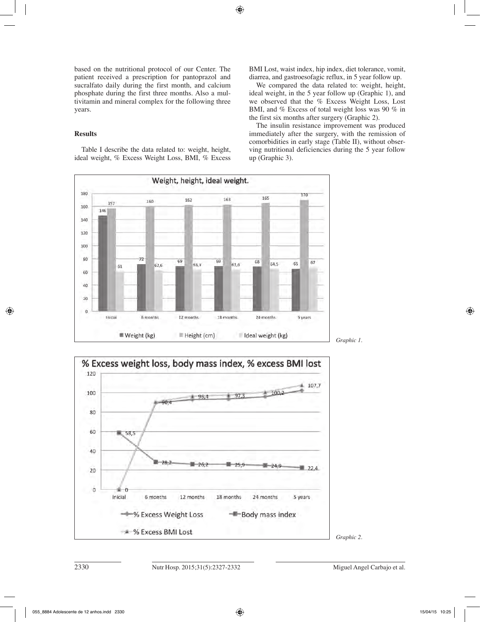based on the nutritional protocol of our Center. The patient received a prescription for pantoprazol and sucralfato daily during the first month, and calcium phosphate during the first three months. Also a multivitamin and mineral complex for the following three years.

# **Results**

180

160

 $157$ 

146

Table I describe the data related to: weight, height, ideal weight, % Excess Weight Loss, BMI, % Excess

160

72

BMI Lost, waist index, hip index, diet tolerance, vomit, diarrea, and gastroesofagic reflux, in 5 year follow up.

We compared the data related to: weight, height, ideal weight, in the 5 year follow up (Graphic 1), and we observed that the % Excess Weight Loss, Lost BMI, and % Excess of total weight loss was 90 % in the first six months after surgery (Graphic 2).

The insulin resistance improvement was produced immediately after the surgery, with the remission of comorbidities in early stage (Table II), without observing nutritional deficiencies during the 5 year follow up (Graphic 3).

170

165

**Excess BMI Lost** 

*Graphic 2.*



Weight, height, ideal weight.

162

69

163

69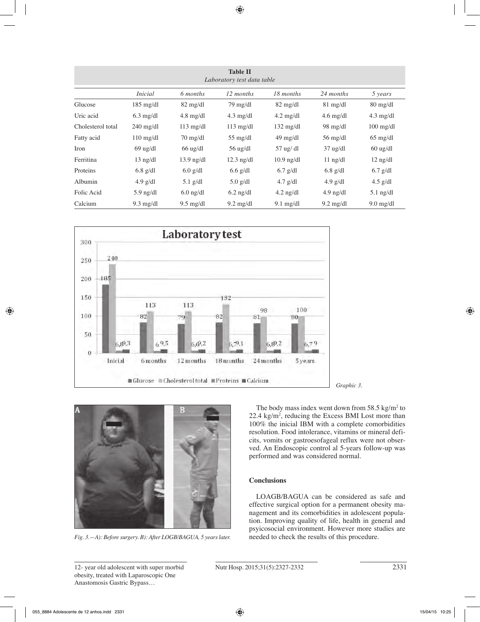| <b>Table II</b><br>Laboratory test data table |                     |                     |                     |                     |                     |                     |  |  |  |
|-----------------------------------------------|---------------------|---------------------|---------------------|---------------------|---------------------|---------------------|--|--|--|
|                                               | <i>Inicial</i>      | 6 months            | 12 months           | 18 months           | 24 months           | 5 years             |  |  |  |
| Glucose                                       | $185 \text{ mg/dl}$ | $82 \text{ mg/dl}$  | $79 \text{ mg/dl}$  | $82 \text{ mg/dl}$  | $81 \text{ mg/dl}$  | $80 \text{ mg/dl}$  |  |  |  |
| Uric acid                                     | $6.3$ mg/dl         | $4.8 \text{ mg/dl}$ | $4.3 \text{ mg/dl}$ | $4.2 \text{ mg/dl}$ | $4.6 \text{ mg/dl}$ | $4.3 \text{ mg/dl}$ |  |  |  |
| Cholesterol total                             | $240 \text{ mg/dl}$ | $113 \text{ mg/dl}$ | $113 \text{ mg/dl}$ | $132 \text{ mg/dl}$ | $98 \text{ mg/dl}$  | $100 \text{ mg/dl}$ |  |  |  |
| Fatty acid                                    | $110 \text{ mg/dl}$ | $70 \text{ mg/dl}$  | $55 \text{ mg/dl}$  | $49 \text{ mg/dl}$  | $56 \text{ mg/dl}$  | $65 \text{ mg/dl}$  |  |  |  |
| Iron                                          | $69$ ug/dl          | $66$ ug/dl          | $56$ ug/dl          | $57$ ug/dl          | $37$ ug/dl          | $60$ ug/dl          |  |  |  |
| Ferritina                                     | $13$ ng/dl          | $13.9$ ng/dl        | $12.3$ ng/dl        | $10.9$ ng/dl        | $11$ ng/dl          | $12$ ng/dl          |  |  |  |
| Proteins                                      | $6.8$ g/dl          | $6.0$ g/dl          | $6.6$ g/dl          | $6.7$ g/dl          | $6.8$ g/dl          | $6.7$ g/dl          |  |  |  |
| Albumin                                       | $4.9$ g/dl          | $5.1$ g/dl          | $5.0$ g/dl          | $4.7$ g/dl          | $4.9$ g/dl          | $4.5$ g/dl          |  |  |  |
| Folic Acid                                    | $5.9$ ng/dl         | $6.0$ ng/dl         | $6.2$ ng/dl         | $4.2$ ng/dl         | $4.9$ ng/dl         | $5.1$ ng/dl         |  |  |  |
| Calcium                                       | $9.3 \text{ mg/dl}$ | $9.5 \text{ mg/dl}$ | $9.2 \text{ mg/dl}$ | $9.1 \text{ mg/dl}$ | $9.2 \text{ mg/dl}$ | $9.0$ mg/dl         |  |  |  |





*Fig. 3.—A): Before surgery. B): After LOGB/BAGUA, 5 years later.*

The body mass index went down from  $58.5 \text{ kg/m}^2$  to 22.4 kg/m2 , reducing the Excess BMI Lost more than 100% the inicial IBM with a complete comorbidities resolution. Food intolerance, vitamins or mineral deficits, vomits or gastroesofageal reflux were not observed. An Endoscopic control al 5-years follow-up was performed and was considered normal.

# **Conclusions**

LOAGB/BAGUA can be considered as safe and effective surgical option for a permanent obesity management and its comorbidities in adolescent population. Improving quality of life, health in general and psyicosocial environment. However more studies are needed to check the results of this procedure.